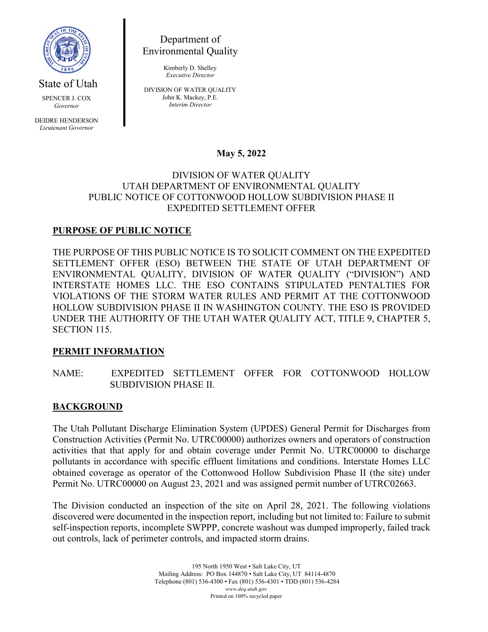

State of Utah

SPENCER J. COX *Governor*

DEIDRE HENDERSON *Lieutenant Governor*

Department of Environmental Quality

> Kimberly D. Shelley *Executive Director*

DIVISION OF WATER QUALITY John K. Mackey, P.E. *Interim Director*

# **May 5, 2022**

#### DIVISION OF WATER QUALITY UTAH DEPARTMENT OF ENVIRONMENTAL QUALITY PUBLIC NOTICE OF COTTONWOOD HOLLOW SUBDIVISION PHASE II EXPEDITED SETTLEMENT OFFER

## **PURPOSE OF PUBLIC NOTICE**

THE PURPOSE OF THIS PUBLIC NOTICE IS TO SOLICIT COMMENT ON THE EXPEDITED SETTLEMENT OFFER (ESO) BETWEEN THE STATE OF UTAH DEPARTMENT OF ENVIRONMENTAL QUALITY, DIVISION OF WATER QUALITY ("DIVISION") AND INTERSTATE HOMES LLC. THE ESO CONTAINS STIPULATED PENTALTIES FOR VIOLATIONS OF THE STORM WATER RULES AND PERMIT AT THE COTTONWOOD HOLLOW SUBDIVISION PHASE II IN WASHINGTON COUNTY. THE ESO IS PROVIDED UNDER THE AUTHORITY OF THE UTAH WATER QUALITY ACT, TITLE 9, CHAPTER 5, SECTION 115.

### **PERMIT INFORMATION**

NAME: EXPEDITED SETTLEMENT OFFER FOR COTTONWOOD HOLLOW SUBDIVISION PHASE II.

### **BACKGROUND**

The Utah Pollutant Discharge Elimination System (UPDES) General Permit for Discharges from Construction Activities (Permit No. UTRC00000) authorizes owners and operators of construction activities that that apply for and obtain coverage under Permit No. UTRC00000 to discharge pollutants in accordance with specific effluent limitations and conditions. Interstate Homes LLC obtained coverage as operator of the Cottonwood Hollow Subdivision Phase II (the site) under Permit No. UTRC00000 on August 23, 2021 and was assigned permit number of UTRC02663.

The Division conducted an inspection of the site on April 28, 2021. The following violations discovered were documented in the inspection report, including but not limited to: Failure to submit self-inspection reports, incomplete SWPPP, concrete washout was dumped improperly, failed track out controls, lack of perimeter controls, and impacted storm drains.

> 195 North 1950 West • Salt Lake City, UT Mailing Address: PO Box 144870 • Salt Lake City, UT 84114-4870 Telephone (801) 536-4300 • Fax (801) 536-4301 • TDD (801) 536-4284 *www.deq.utah.gov* Printed on 100% recycled paper